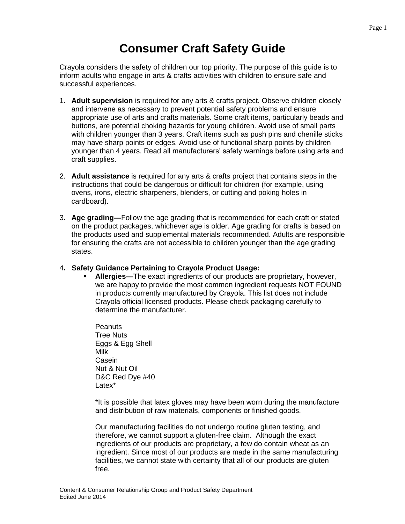## **Consumer Craft Safety Guide**

Crayola considers the safety of children our top priority. The purpose of this guide is to inform adults who engage in arts & crafts activities with children to ensure safe and successful experiences.

- 1. **Adult supervision** is required for any arts & crafts project. Observe children closely and intervene as necessary to prevent potential safety problems and ensure appropriate use of arts and crafts materials. Some craft items, particularly beads and buttons, are potential choking hazards for young children. Avoid use of small parts with children younger than 3 years. Craft items such as push pins and chenille sticks may have sharp points or edges. Avoid use of functional sharp points by children younger than 4 years. Read all manufacturers' safety warnings before using arts and craft supplies.
- 2. **Adult assistance** is required for any arts & crafts project that contains steps in the instructions that could be dangerous or difficult for children (for example, using ovens, irons, electric sharpeners, blenders, or cutting and poking holes in cardboard).
- 3. **Age grading—**Follow the age grading that is recommended for each craft or stated on the product packages, whichever age is older. Age grading for crafts is based on the products used and supplemental materials recommended. Adults are responsible for ensuring the crafts are not accessible to children younger than the age grading states.

## 4**. Safety Guidance Pertaining to Crayola Product Usage:**

 **Allergies—**The exact ingredients of our products are proprietary, however, we are happy to provide the most common ingredient requests NOT FOUND in products currently manufactured by Crayola. This list does not include Crayola official licensed products. Please check packaging carefully to determine the manufacturer.

**Peanuts** Tree Nuts Eggs & Egg Shell Milk **Casein** Nut & Nut Oil D&C Red Dye #40 Latex\*

\*It is possible that latex gloves may have been worn during the manufacture and distribution of raw materials, components or finished goods.

Our manufacturing facilities do not undergo routine gluten testing, and therefore, we cannot support a gluten-free claim. Although the exact ingredients of our products are proprietary, a few do contain wheat as an ingredient. Since most of our products are made in the same manufacturing facilities, we cannot state with certainty that all of our products are gluten free.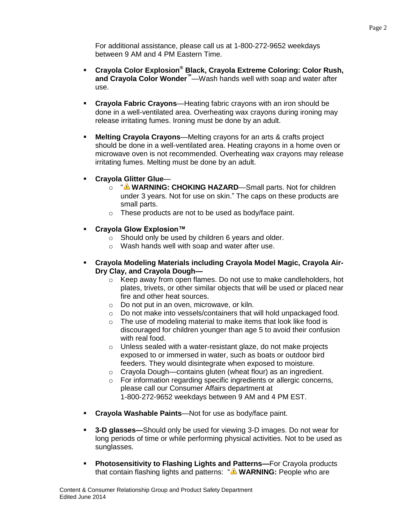For additional assistance, please call us at 1-800-272-9652 weekdays between 9 AM and 4 PM Eastern Time.

- **Crayola Color Explosion® Black, Crayola Extreme Coloring: Color Rush, and Crayola Color Wonder™**—Wash hands well with soap and water after use.
- **Crayola Fabric Crayons**—Heating fabric crayons with an iron should be done in a well-ventilated area. Overheating wax crayons during ironing may release irritating fumes. Ironing must be done by an adult.
- **Melting Crayola Crayons**—Melting crayons for an arts & crafts project should be done in a well-ventilated area. Heating crayons in a home oven or microwave oven is not recommended. Overheating wax crayons may release irritating fumes. Melting must be done by an adult.
- **Crayola Glitter Glue**
	- o " **WARNING: CHOKING HAZARD**—Small parts. Not for children under 3 years. Not for use on skin." The caps on these products are small parts.
	- o These products are not to be used as body/face paint.
- **Crayola Glow Explosion™**
	- o Should only be used by children 6 years and older.
	- o Wash hands well with soap and water after use.
- **Crayola Modeling Materials including Crayola Model Magic, Crayola Air-Dry Clay, and Crayola Dough**
	- o Keep away from open flames. Do not use to make candleholders, hot plates, trivets, or other similar objects that will be used or placed near fire and other heat sources.
	- o Do not put in an oven, microwave, or kiln.
	- o Do not make into vessels/containers that will hold unpackaged food.
	- o The use of modeling material to make items that look like food is discouraged for children younger than age 5 to avoid their confusion with real food.
	- o Unless sealed with a water-resistant glaze, do not make projects exposed to or immersed in water, such as boats or outdoor bird feeders. They would disintegrate when exposed to moisture.
	- o Crayola Dough—contains gluten (wheat flour) as an ingredient.
	- o For information regarding specific ingredients or allergic concerns, please call our Consumer Affairs department at 1-800-272-9652 weekdays between 9 AM and 4 PM EST.
- **Crayola Washable Paints**—Not for use as body/face paint.
- **3-D glasses—**Should only be used for viewing 3-D images. Do not wear for long periods of time or while performing physical activities. Not to be used as sunglasses.
- **Photosensitivity to Flashing Lights and Patterns—For Crayola products** that contain flashing lights and patterns: " **WARNING:** People who are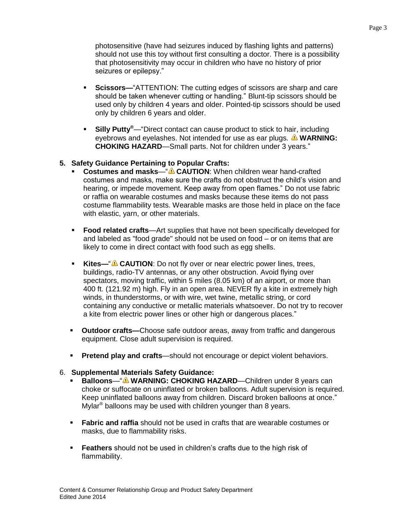photosensitive (have had seizures induced by flashing lights and patterns) should not use this toy without first consulting a doctor. There is a possibility that photosensitivity may occur in children who have no history of prior seizures or epilepsy."

- **Scissors—**"ATTENTION: The cutting edges of scissors are sharp and care should be taken whenever cutting or handling." Blunt-tip scissors should be used only by children 4 years and older. Pointed-tip scissors should be used only by children 6 years and older.
- **Silly Putty®**—"Direct contact can cause product to stick to hair, including eyebrows and eyelashes. Not intended for use as ear plugs. **A WARNING: CHOKING HAZARD**—Small parts. Not for children under 3 years."

## **5. Safety Guidance Pertaining to Popular Crafts:**

- **Costumes and masks—"<sup>A</sup> CAUTION:** When children wear hand-crafted costumes and masks, make sure the crafts do not obstruct the child's vision and hearing, or impede movement. Keep away from open flames." Do not use fabric or raffia on wearable costumes and masks because these items do not pass costume flammability tests. Wearable masks are those held in place on the face with elastic, yarn, or other materials.
- **Food related crafts**—Art supplies that have not been specifically developed for and labeled as "food grade" should not be used on food – or on items that are likely to come in direct contact with food such as egg shells.
- **Kites—"<sup>A</sup> CAUTION**: Do not fly over or near electric power lines, trees, buildings, radio-TV antennas, or any other obstruction. Avoid flying over spectators, moving traffic, within 5 miles (8.05 km) of an airport, or more than 400 ft. (121.92 m) high. Fly in an open area. NEVER fly a kite in extremely high winds, in thunderstorms, or with wire, wet twine, metallic string, or cord containing any conductive or metallic materials whatsoever. Do not try to recover a kite from electric power lines or other high or dangerous places."
- **Outdoor crafts—**Choose safe outdoor areas, away from traffic and dangerous equipment. Close adult supervision is required.
- **Pretend play and crafts—should not encourage or depict violent behaviors.**

## 6. **Supplemental Materials Safety Guidance:**

- **Balloons—"<sup>A</sup> WARNING: CHOKING HAZARD—Children under 8 years can** choke or suffocate on uninflated or broken balloons. Adult supervision is required. Keep uninflated balloons away from children. Discard broken balloons at once." Mylar<sup>®</sup> balloons may be used with children younger than 8 years.
- **Fabric and raffia** should not be used in crafts that are wearable costumes or masks, due to flammability risks.
- **Feathers** should not be used in children's crafts due to the high risk of flammability.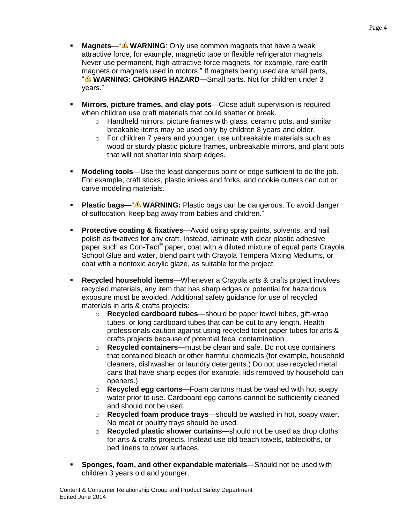- **Magnets—"<sup>A</sup> WARNING**: Only use common magnets that have a weak attractive force, for example, magnetic tape or flexible refrigerator magnets. Never use permanent, high-attractive-force magnets, for example, rare earth magnets or magnets used in motors." If magnets being used are small parts, **WARNING: CHOKING HAZARD—**Small parts. Not for children under 3 years."
- **Mirrors, picture frames, and clay pots**—Close adult supervision is required when children use craft materials that could shatter or break.
	- o Handheld mirrors, picture frames with glass, ceramic pots, and similar breakable items may be used only by children 8 years and older.
	- o For children 7 years and younger, use unbreakable materials such as wood or sturdy plastic picture frames, unbreakable mirrors, and plant pots that will not shatter into sharp edges.
- **Modeling tools**—Use the least dangerous point or edge sufficient to do the job. For example, craft sticks, plastic knives and forks, and cookie cutters can cut or carve modeling materials.
- **Plastic bags—"<sup>A</sup> WARNING:** Plastic bags can be dangerous. To avoid danger of suffocation, keep bag away from babies and children."
- **Protective coating & fixatives**—Avoid using spray paints, solvents, and nail polish as fixatives for any craft. Instead, laminate with clear plastic adhesive paper such as Con-Tact $^{\circledast}$  paper, coat with a diluted mixture of equal parts Crayola School Glue and water, blend paint with Crayola Tempera Mixing Mediums, or coat with a nontoxic acrylic glaze, as suitable for the project.
- **Recycled household items**—Whenever a Crayola arts & crafts project involves recycled materials, any item that has sharp edges or potential for hazardous exposure must be avoided. Additional safety guidance for use of recycled materials in arts & crafts projects:
	- o **Recycled cardboard tubes**—should be paper towel tubes, gift-wrap tubes, or long cardboard tubes that can be cut to any length. Health professionals caution against using recycled toilet paper tubes for arts & crafts projects because of potential fecal contamination.
	- o **Recycled containers—**must be clean and safe. Do not use containers that contained bleach or other harmful chemicals (for example, household cleaners, dishwasher or laundry detergents.) Do not use recycled metal cans that have sharp edges (for example, lids removed by household can openers.)
	- o **Recycled egg cartons**—Foam cartons must be washed with hot soapy water prior to use. Cardboard egg cartons cannot be sufficiently cleaned and should not be used.
	- o **Recycled foam produce trays**—should be washed in hot, soapy water. No meat or poultry trays should be used.
	- o **Recycled plastic shower curtains**—should not be used as drop cloths for arts & crafts projects. Instead use old beach towels, tablecloths, or bed linens to cover surfaces.
- **Sponges, foam, and other expandable materials**—Should not be used with children 3 years old and younger.